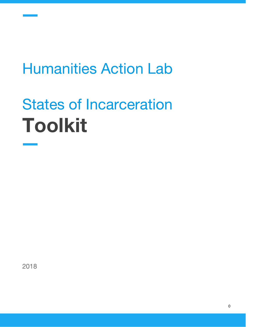# Humanities Action Lab

# States of Incarceration **Toolkit**

2018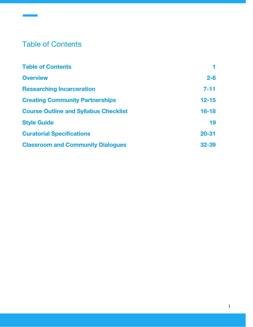# <span id="page-1-0"></span>Table of Contents

| <b>Table of Contents</b>                     |           |
|----------------------------------------------|-----------|
| <b>Overview</b>                              | $2 - 6$   |
| <b>Researching Incarceration</b>             | $7 - 11$  |
| <b>Creating Community Partnerships</b>       | $12 - 15$ |
| <b>Course Outline and Syllabus Checklist</b> | $16 - 18$ |
| <b>Style Guide</b>                           | 19        |
| <b>Curatorial Specifications</b>             | $20 - 31$ |
| <b>Classroom and Community Dialogues</b>     | $32 - 39$ |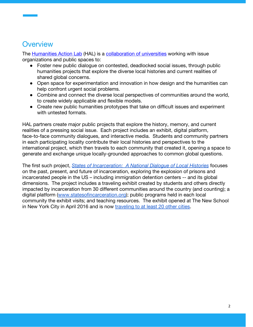## **Overview**

The **Humanities Action Lab** (HAL) is a [collaboration of universities](http://humanitiesactionlab.org/partners/) working with issue organizations and public spaces to:

- **●** Foster new public dialogue on contested, deadlocked social issues, through public humanities projects that explore the diverse local histories and current realities of shared global concerns.
- **●** Open space for experimentation and innovation in how design and the humanities can help confront urgent social problems.
- **●** Combine and connect the diverse local perspectives of communities around the world, to create widely applicable and flexible models.
- **●** Create new public humanities prototypes that take on difficult issues and experiment with untested formats.

HAL partners create major public projects that explore the history, memory, and current realities of a pressing social issue. Each project includes an exhibit, digital platform, face-to-face community dialogues, and interactive media. Students and community partners in each participating locality contribute their local histories and perspectives to the international project, which then travels to each community that created it, opening a space to generate and exchange unique locally-grounded approaches to common global questions.

The first such project, *[States of Incarceration: A National Dialogue of Local Histories](http://statesofincarceration.org/)* focuses on the past, present, and future of incarceration, exploring the explosion of prisons and incarcerated people in the US – including immigration detention centers -- and its global dimensions. The project includes a traveling exhibit created by students and others directly impacted by incarceration from 30 different communities around the country (and counting); a digital platform ([www.statesofincarceration.org](http://www.statesofincarceration.org/)); public programs held in each local community the exhibit visits; and teaching resources. The exhibit opened at The New School in New York City in April 2016 and is now [traveling to at least 20 other cities.](http://statesofincarceration.org/exhibition-and-events)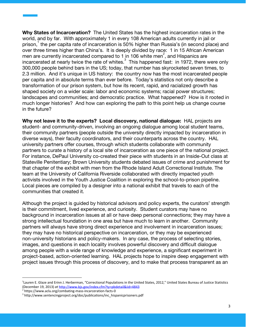**Why States of Incarceration?** The United States has the highest incarceration rates in the world, and by far. With approximately 1 in every 108 American adults currently in jail or prison, the per capita rate of incarceration is 50% higher than Russia's (in second place) and over three times higher than China's. It is deeply divided by race: 1 in 15 African American men are currently incarcerated compared to 1 in 106 white men<sup> $\zeta$ </sup>, and Hispanics are incarcerated at nearly twice the rate of whites. $3\overline{ }$  This happened fast: in 1972, there were only 300,000 people behind bars in the US; today, that number has skyrocketed seven times, to 2.3 million. And it's unique in US history: the country now has the most incarcerated people per capita and in absolute terms than ever before. Today's statistics not only describe a transformation of our prison system, but how its recent, rapid, and racialized growth has shaped society on a wider scale: labor and economic systems; racial power structures; landscapes and communities; and democratic practice. What happened? How is it rooted in much longer histories? And how can exploring the path to this point help us change course in the future?

**Why not leave it to the experts? Local discovery, national dialogue:** HAL projects are student- and community-driven, involving an ongoing dialogue among local student teams, their community partners (people outside the university directly impacted by incarceration in diverse ways), their faculty coordinators, and their counterparts across the country. HAL university partners offer courses, through which students collaborate with community partners to curate a history of a local site of incarceration as one piece of the national project. For instance, DePaul University co-created their piece with students in an Inside-Out class at Stateville Penitentiary; Brown University students debated issues of crime and punishment for that chapter of the exhibit with men from the Rhode Island Adult Correctional Institute. The team at the University of California Riverside collaborated with directly impacted youth activists involved in the Youth Justice Coalition in exploring the school-to-prison pipeline. Local pieces are compiled by a designer into a national exhibit that travels to each of the communities that created it.

Although the project is guided by historical advisors and policy experts, the curators' strength is their commitment, lived experience, and curiosity. Student curators may have no background in incarceration issues at all or have deep personal connections; they may have a strong intellectual foundation in one area but have much to learn in another. Community partners will always have strong direct experience and involvement in incarceration issues; they may have no historical perspective on incarceration, or they may be experienced non-university historians and policy-makers. In any case, the process of selecting stories, images, and questions in each locality involves powerful discovery and difficult dialogue among people with a wide range of knowledge and experience, a significant experiment in project-based, action-oriented learning. HAL projects hope to inspire deep engagement with project issues through this process of discovery, and to make that process transparent as an

<sup>&</sup>lt;sup>1</sup>Lauren E. Glaze and Erinn J. Herberman, "Correctional Populations in the United States, 2012," United States Bureau of Justice Statistics (December 19, 2013) *at* <http://www.bjs.gov/index.cfm?ty=pbdetail&iid=4843>

<sup>2</sup> https://www.aclu.org/combating-mass-incarceration-facts-0

<sup>3</sup> http://www.sentencingproject.org/doc/publications/inc\_hispanicprisoners.pdf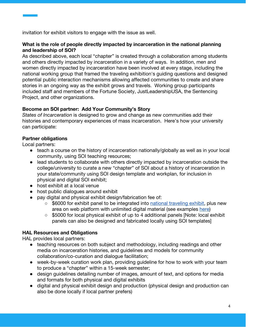invitation for exhibit visitors to engage with the issue as well.

#### **What is the role of people directly impacted by incarceration in the national planning and leadership of SOI?**

As described above, each local "chapter" is created through a collaboration among students and others directly impacted by incarceration in a variety of ways. In addition, men and women directly impacted by incarceration have been involved at every stage, including the national working group that framed the traveling exhibition's guiding questions and designed potential public interaction mechanisms allowing affected communities to create and share stories in an ongoing way as the exhibit grows and travels. Working group participants included staff and members of the Fortune Society, JustLeadershipUSA, the Sentencing Project, and other organizations.

#### **Become an SOI partner: Add Your Community's Story**

*States of Incarceration* is designed to grow and change as new communities add their histories and contemporary experiences of mass incarceration. Here's how your university can participate:

#### **Partner obligations**

Local partners:

- teach a course on the history of incarceration nationally/globally as well as in your local community, using SOI teaching resources;
- lead students to collaborate with others directly impacted by incarceration outside the college/university to curate a new "chapter" of SOI about a history of incarceration in your state/community using SOI design template and workplan, for inclusion in physical and digital SOI exhibit;
- host exhibit at a local venue
- host public dialogues around exhibit
- pay digital and physical exhibit design/fabrication fee of:
	- \$6000 for exhibit panel to be integrated into [national traveling exhibit,](https://drive.google.com/file/d/0B_VTAaeg1WMiZk5PMHhxamVRRnQtSUpGRmdrLTI2UlV2Y2E0/view?usp=sharing) plus new area on web platform with unlimited digital material (see examples [here\)](http://statesofincarceration.org/state-by-state)
	- \$5000 for local physical exhibit of up to 4 additional panels [Note: local exhibit panels can also be designed and fabricated locally using SOI templates]

#### **HAL Resources and Obligations**

HAL provides local partners:

- teaching resources on both subject and methodology, including readings and other media on incarceration histories, and guidelines and models for community collaboration/co-curation and dialogue facilitation;
- week-by-week curation work plan, providing guideline for how to work with your team to produce a "chapter" within a 15-week semester;
- design guidelines detailing number of images, amount of text, and options for media and formats for both physical and digital exhibits
- digital and physical exhibit design and production (physical design and production can also be done locally if local partner prefers)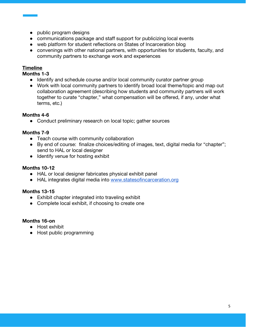- public program designs
- communications package and staff support for publicizing local events
- web platform for student reflections on States of Incarceration blog
- convenings with other national partners, with opportunities for students, faculty, and community partners to exchange work and experiences

#### **Timeline**

**Months 1-3**

- Identify and schedule course and/or local community curator partner group
- Work with local community partners to identify broad local theme/topic and map out collaboration agreement (describing how students and community partners will work together to curate "chapter," what compensation will be offered, if any, under what terms, etc.)

#### **Months 4-6**

• Conduct preliminary research on local topic; gather sources

#### **Months 7-9**

- Teach course with community collaboration
- By end of course: finalize choices/editing of images, text, digital media for "chapter"; send to HAL or local designer
- Identify venue for hosting exhibit

#### **Months 10-12**

- HAL or local designer fabricates physical exhibit panel
- HAL integrates digital media into [www.statesofincarceration.org](http://www.statesofincarceration.org/)

#### **Months 13-15**

- Exhibit chapter integrated into traveling exhibit
- Complete local exhibit, if choosing to create one

#### **Months 16-on**

- Host exhibit
- Host public programming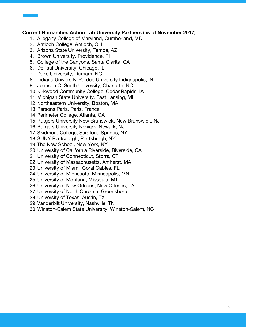#### **Current Humanities Action Lab University Partners (as of November 2017)**

- 1. Allegany College of Maryland, Cumberland, MD
- 2. Antioch College, Antioch, OH
- 3. Arizona State University, Tempe, AZ
- 4. Brown University, Providence, RI
- 5. College of the Canyons, Santa Clarita, CA
- 6. DePaul University, Chicago, IL
- 7. Duke University, Durham, NC
- 8. Indiana University-Purdue University Indianapolis, IN
- 9. Johnson C. Smith University, Charlotte, NC
- 10.Kirkwood Community College, Cedar Rapids, IA
- 11.Michigan State University, East Lansing, MI
- 12.Northeastern University, Boston, MA
- 13.Parsons Paris, Paris, France
- 14.Perimeter College, Atlanta, GA
- 15.Rutgers University New Brunswick, New Brunswick, NJ
- 16.Rutgers University Newark, Newark, NJ
- 17.Skidmore College, Saratoga Springs, NY
- 18.SUNY Plattsburgh, Plattsburgh, NY
- 19.The New School, New York, NY
- 20.University of California Riverside, Riverside, CA
- 21.University of Connecticut, Storrs, CT
- 22.University of Massachusetts, Amherst, MA
- 23.University of Miami, Coral Gables, FL
- 24.University of Minnesota, Minneapolis, MN
- 25.University of Montana, Missoula, MT
- 26.University of New Orleans, New Orleans, LA
- 27.University of North Carolina, Greensboro
- 28.University of Texas, Austin, TX
- 29.Vanderbilt University, Nashville, TN
- 30.Winston-Salem State University, Winston-Salem, NC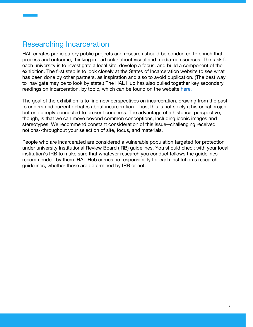## Researching Incarceration

HAL creates participatory public projects and research should be conducted to enrich that process and outcome, thinking in particular about visual and media-rich sources. The task for each university is to investigate a local site, develop a focus, and build a component of the exhibition. The first step is to look closely at the States of Incarceration website to see what has been done by other partners, as inspiration and also to avoid duplication. (The best way to navigate may be to look by state.) The HAL Hub has also pulled together key secondary readings on incarceration, by topic, which can be found on the website [here](http://statesofincarceration.org/teaching-resources).

The goal of the exhibition is to find new perspectives on incarceration, drawing from the past to understand current debates about incarceration. Thus, this is not solely a historical project but one deeply connected to present concerns. The advantage of a historical perspective, though, is that we can move beyond common conceptions, including iconic images and stereotypes. We recommend constant consideration of this issue--challenging received notions--throughout your selection of site, focus, and materials.

People who are incarcerated are considered a vulnerable population targeted for protection under university Institutional Review Board (IRB) guidelines. You should check with your local institution's IRB to make sure that whatever research you conduct follows the guidelines recommended by them. HAL Hub carries no responsibility for each institution's research guidelines, whether those are determined by IRB or not.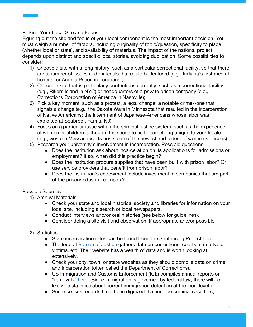#### Picking Your Local Site and Focus

Figuring out the site and focus of your local component is the most important decision. You must weigh a number of factors, including originality of topic/question, specificity to place (whether local or state), and availability of materials. The impact of the national project depends upon distinct and specific local stories, avoiding duplication. Some possibilities to consider:

- 1) Choose a site with a long history, such as a particular correctional facility, so that there are a number of issues and materials that could be featured (e.g., Indiana's first mental hospital or Angola Prison in Louisiana);
- 2) Choose a site that is particularly contentious currently, such as a correctional facility (e.g., Rikers Island in NYC) or headquarters of a private prison company (e.g., Corrections Corporation of America in Nashville);
- 3) Pick a key moment, such as a protest, a legal change, a notable crime--one that signals a change (e.g., the Dakota Wars in Minnesota that resulted in the incarceration of Native Americans; the internment of Japanese-Americans whose labor was exploited at Seabrook Farms, NJ);
- 4) Focus on a particular issue within the criminal justice system, such as the experience of women or children, although this needs to tie to something unique to your locale (e.g., western Massachusetts hosts one of the newest and oldest of women's prisons).
- 5) Research your university's involvement in incarceration. Possible questions:
	- Does the institution ask about incarceration on its applications for admissions or employment? If so, when did this practice begin?
	- Does the institution procure supplies that have been built with prison labor? Or use service providers that benefit from prison labor?
	- Does the institution's endowment include investment in companies that are part of the prison/industrial complex?

### Possible Sources

- 1) Archival Materials
	- Check your state and local historical society and libraries for information on your local site, including a search of local newspapers.
	- Conduct interviews and/or oral histories (see below for guidelines).
	- Consider doing a site visit and observation, if appropriate and/or possible.
- 2) Statistics
	- State incarceration rates can be found from The Sentencing Project [here](http://www.sentencingproject.org/the-facts/#map).
	- The federal **Bureau of Justice** gathers data on corrections, courts, crime type, victims, etc. Their website has a wealth of data and is worth looking at extensively.
	- Check your city, town, or state websites as they should compile data on crime and incarceration (often called the Department of Corrections).
	- US Immigration and Customs Enforcement (ICE) compiles annual reports on "removals" [here.](https://www.ice.gov/statistics) (Since immigration is governed by federal law, there will not likely be statistics about current immigration detention at the local level.)
	- Some census records have been digitized that include criminal case files,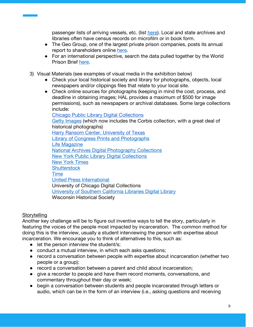passenger lists of arriving vessels, etc. (list [here\)](https://www.archives.gov/digitization/digitized-by-partners.html). Local and state archives and libraries often have census records on microfilm or in book form.

- The Geo Group, one of the largest private prison companies, posts its annual report to shareholders online [here.](http://investors.geogroup.com/FinancialDocs)
- For an international perspective, search the data pulled together by the World Prison Brief [here](http://prisonstudies.org/).
- 3) Visual Materials (see examples of visual media in the exhibition below)
	- Check your local historical society and library for photographs, objects, local newspapers and/or clippings files that relate to your local site.
	- Check online sources for photographs (keeping in mind the cost, process, and deadline in obtaining images; HAL provides a maximum of \$500 for image permissions), such as newspapers or archival databases. Some large collections include:

[Chicago Public Library Digital Collections](http://digital.chipublib.org/) [Getty Images](http://www.gettyimages.com/) (which now includes the Corbis collection, with a great deal of historical photographs) [Harry Ransom Center, University of Texas](http://www.hrc.utexas.edu/) [Library of Congress Prints and Photographs](http://www.loc.gov/pictures/) [Life Magazine](http://images.google.com/hosted/life) [National Archives Digital Photography Collections](https://www.archives.gov/research/alic/reference/photography.html) [New York Public Library Digital Collections](https://digitalcollections.nypl.org/) [New York Times](https://www.nytimes.com/) **[Shutterstock](https://www.shutterstock.com/)** [Time](http://time.com/vault/) [United Press International](http://www.upi.com/Archives/) [University of Chicago Digital Collections](https://www.lib.uchicago.edu/collex/?digital=on&view=collections) [University of Southern California Libraries Digital Library](http://digitallibrary.usc.edu/) [Wisconsin Historical Society](http://www.wisconsinhistory.org/Content.aspx?dsNav=N:4294963828-4294963805&dsRecordDetails=R:CS3523)

#### **Storytelling**

Another key challenge will be to figure out inventive ways to tell the story, particularly in featuring the voices of the people most impacted by incarceration. The common method for doing this is the interview, usually a student interviewing the person with expertise about incarceration. We encourage you to think of alternatives to this, such as:

- let the person interview the student/s;
- conduct a mutual interview, in which each asks questions;
- record a conversation between people with expertise about incarceration (whether two people or a group);
- record a conversation between a parent and child about incarceration;
- give a recorder to people and have them record moments, conversations, and commentary throughout their day or week;
- begin a conversation between students and people incarcerated through letters or audio, which can be in the form of an interview (i.e., asking questions and receiving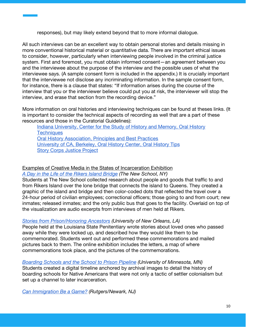responses), but may likely extend beyond that to more informal dialogue.

All such interviews can be an excellent way to obtain personal stories and details missing in more conventional historical material or quantitative data. There are important ethical issues to consider, however, particularly when interviewing people involved in the criminal justice system. First and foremost, you must obtain informed consent—an agreement between you and the interviewee about the purpose of the interview and the possible uses of what the interviewee says. (A sample consent form is included in the appendix.) It is crucially important that the interviewee not disclose any incriminating information. In the sample consent form, for instance, there is a clause that states: "If information arises during the course of the interview that you or the interviewer believe could put you at risk, the interviewer will stop the interview, and erase that section from the recording device."

More information on oral histories and interviewing techniques can be found at theses links. (It is important to consider the technical aspects of recording as well that are a part of these resources and those in the Curatorial Guidelines):

[Indiana University, Center for the Study of History and Memory, Oral History](http://www.indiana.edu/~cshm/oral_history_techniques.pdf) **[Techniques](http://www.indiana.edu/~cshm/oral_history_techniques.pdf)** [Oral History Association, Principles and Best Practices](http://www.oralhistory.org/about/principles-and-practices/) [University of CA, Berkeley, Oral History Center, Oral History Tips](http://www.lib.berkeley.edu/libraries/bancroft-library/oral-history-center/oral-history-tips) [Story Corps Justice Project](https://storycorps.org/discover/storycorps-justice-project/)

#### Examples of Creative Media in the States of Incarceration Exhibition

*[A Day in the Life of the Rikers Island Bridge](https://statesofincarceration.org/story/day-life-rikers-island-bridge) (The New School, NY)*

Students at The New School collected research about people and goods that traffic to and from Rikers Island over the lone bridge that connects the island to Queens. They created a graphic of the island and bridge and then color-coded dots that reflected the travel over a 24-hour period of civilian employees; correctional officers; those going to and from court; new inmates; released inmates; and the only public bus that goes to the facility. Overlaid on top of the visualization are audio excerpts from interviews of men held at Rikers.

#### *[Stories from Prison/Honoring Ancestors](https://statesofincarceration.org/story/stories-prison-honoring-ancestors) (University of New Orleans, LA)*

People held at the Louisiana State Penitentiary wrote stories about loved ones who passed away while they were locked up, and described how they would like them to be commemorated. Students went out and performed these commemorations and mailed pictures back to them. The online exhibition includes the letters, a map of where commemorations took place, and the pictures of the commemorations.

*[Boarding Schools and the School to Prison Pipeline](https://statesofincarceration.org/story/boarding-schools-and-school-prison-pipeline) (University of Minnesota, MN)* Students created a digital timeline anchored by archival images to detail the history of boarding schools for Native Americans that were not only a tactic of settler colonialism but set up a channel to later incarceration.

*[Can Immigration Be a Game?](https://statesofincarceration.org/story/can-immigration-be-game) (Rutgers/Newark, NJ)*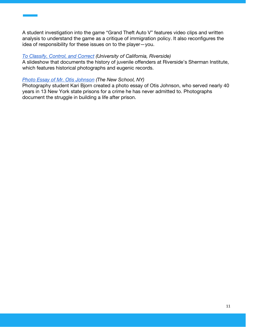A student investigation into the game "Grand Theft Auto V" features video clips and written analysis to understand the game as a critique of immigration policy. It also reconfigures the idea of responsibility for these issues on to the player—you.

#### *[To Classify, Control, and Correct](https://statesofincarceration.org/story/classify-control-and-correct) (University of California, Riverside)*

A slideshow that documents the history of juvenile offenders at Riverside's Sherman Institute, which features historical photographs and eugenic records.

#### *[Photo Essay of Mr. Otis Johnson](https://statesofincarceration.org/story/mr-otis-johnson-kari-bjorn) (The New School, NY)*

Photography student Kari Bjorn created a photo essay of Otis Johnson, who served nearly 40 years in 13 New York state prisons for a crime he has never admitted to. Photographs document the struggle in building a life after prison.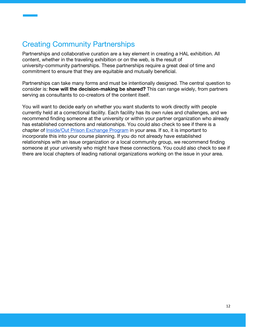# <span id="page-12-0"></span>Creating Community Partnerships

Partnerships and collaborative curation are a key element in creating a HAL exhibition. All content, whether in the traveling exhibition or on the web, is the result of university-community partnerships. These partnerships require a great deal of time and commitment to ensure that they are equitable and mutually beneficial.

Partnerships can take many forms and must be intentionally designed. The central question to consider is: **how will the decision-making be shared?** This can range widely, from partners serving as consultants to co-creators of the content itself.

You will want to decide early on whether you want students to work directly with people currently held at a correctional facility. Each facility has its own rules and challenges, and we recommend finding someone at the university or within your partner organization who already has established connections and relationships. You could also check to see if there is a chapter of [Inside/Out Prison Exchange Program](http://www.insideoutcenter.org/) in your area. If so, it is important to incorporate this into your course planning. If you do not already have established relationships with an issue organization or a local community group, we recommend finding someone at your university who might have these connections. You could also check to see if there are local chapters of leading national organizations working on the issue in your area.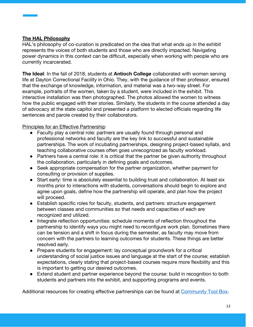#### **The HAL Philosophy**

HAL's philosophy of co-curation is predicated on the idea that what ends up in the exhibit represents the voices of both students and those who are directly impacted. Navigating power dynamics in this context can be difficult, especially when working with people who are currently incarcerated.

**The Ideal**: In the fall of 2018, students at **Antioch College** collaborated with women serving life at Dayton Correctional Facility in Ohio. They, with the guidance of their professor, ensured that the exchange of knowledge, information, and material was a two-way street. For example, portraits of the women, taken by a student, were included in the exhibit. This interactive installation was then photographed. The photos allowed the women to witness how the public engaged with their stories. Similarly, the students in the course attended a day of advocacy at the state capitol and presented a platform to elected officials regarding life sentences and parole created by their collaborators.

#### Principles for an Effective Partnership

- Faculty play a central role: partners are usually found through personal and professional networks and faculty are the key link to successful and sustainable partnerships. The work of incubating partnerships, designing project-based syllabi, and teaching collaborative courses often goes unrecognized as faculty workload.
- Partners have a central role: it is critical that the partner be given authority throughout the collaboration, particularly in defining goals and outcomes.
- Seek appropriate compensation for the partner organization, whether payment for consulting or provision of supplies.
- Start early: time is absolutely essential to building trust and collaboration. At least six months prior to interactions with students, conversations should begin to explore and agree upon goals, define how the partnership will operate, and plan how the project will proceed.
- Establish specific roles for faculty, students, and partners: structure engagement between classes and communities so that needs and capacities of each are recognized and utilized.
- Integrate reflection opportunities: schedule moments of reflection throughout the partnership to identify ways you might need to reconfigure work plan. Sometimes there can be tension and a shift in focus during the semester, as faculty may move from concern with the partners to learning outcomes for students. These things are better resolved early.
- Prepare students for engagement: lay conceptual groundwork for a critical understanding of social justice issues and language at the start of the course; establish expectations, clearly stating that project-based courses require more flexibility and this is important to getting our desired outcomes.
- Extend student and partner experience beyond the course: build in recognition to both students and partners into the exhibit, and supporting programs and events.

Additional resources for creating effective partnerships can be found at [Community Tool Box](http://ctb.ku.edu/en/toolkits).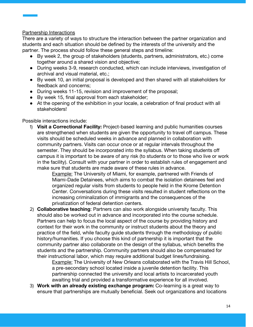#### Partnership Interactions

There are a variety of ways to structure the interaction between the partner organization and students and each situation should be defined by the interests of the university and the partner. The process should follow these general steps and timeline:

- By week 2, the group of stakeholders (students, partners, administrators, etc.) come together around a shared vision and objective;
- During weeks 3-9, research conducted, which can include interviews, investigation of archival and visual material, etc.;
- By week 10, an initial proposal is developed and then shared with all stakeholders for feedback and concerns;
- During weeks 11-15, revision and improvement of the proposal;
- By week 15, final approval from each stakeholder;
- At the opening of the exhibition in your locale, a celebration of final product with all stakeholders!

#### Possible interactions include:

1) **Visit a Correctional Facility:** Project-based learning and public humanities courses are strengthened when students are given the opportunity to travel off campus. These visits should be scheduled weeks in advance and planned in collaboration with community partners. Visits can occur once or at regular intervals throughout the semester. They should be incorporated into the syllabus. When taking students off campus it is important to be aware of any risk (to students or to those who live or work in the facility). Consult with your partner in order to establish rules of engagement and make sure that students are made aware of these rules in advance.

Example: The University of Miami, for example, partnered with Friends of Miami-Dade Detainees, which aims to combat the isolation detainees feel and organized regular visits from students to people held in the Krome Detention Center. Conversations during these visits resulted in student reflections on the increasing criminalization of immigrants and the consequences of the privatization of federal detention centers.

2) **Collaborative teaching**: Partners can also work alongside university faculty. This should also be worked out in advance and incorporated into the course schedule. Partners can help to focus the local aspect of the course by providing history and context for their work in the community or instruct students about the theory and practice of the field, while faculty guide students through the methodology of public history/humanities. If you choose this kind of partnership it is important that the community partner also collaborate on the design of the syllabus, which benefits the students and the partnership. Community partners should also be compensated for their instructional labor, which may require additional budget lines/fundraising.

Example: The University of New Orleans collaborated with the Travis Hill School, a pre-secondary school located inside a juvenile detention facility. This partnership connected the university and local artists to incarcerated youth awaiting trial and provided a transformative experience for all involved.

3) **Work with an already existing exchange program:** Co-learning is a great way to ensure that partnerships are mutually beneficial. Seek out organizations and locations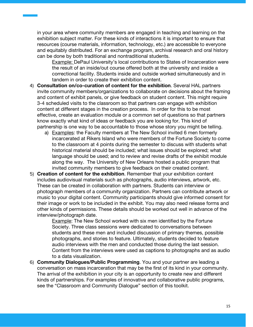in your area where community members are engaged in teaching and learning on the exhibition subject matter. For these kinds of interactions it is important to ensure that resources (course materials, information, technology, etc.) are accessible to everyone and equitably distributed. For an exchange program, archival research and oral history can be done by both traditional and nontraditional students.

Example: DePaul University's local contributions to States of Incarceration were the result of an inside/out course offered both at the university and inside a correctional facility. Students inside and outside worked simultaneously and in tandem in order to create their exhibition content.

- 4) **Consultation on/co-curation of content for the exhibition**. Several HAL partners invite community members/organizations to collaborate on decisions about the framing and content of exhibit panels, or give feedback on student content. This might require 3-4 scheduled visits to the classroom so that partners can engage with exhibition content at different stages in the creation process. In order for this to be most effective, create an evaluation module or a common set of questions so that partners know exactly what kind of ideas or feedback you are looking for. This kind of partnership is one way to be accountable to those whose story you might be telling.
	- a) Examples: the Faculty members at The New School invited 6 men formerly incarcerated at Rikers Island who were members of the Fortune Society to come to the classroom at 4 points during the semester to discuss with students what historical material should be included; what issues should be explored; what language should be used; and to review and revise drafts of the exhibit module along the way. The University of New Orleans hosted a public program that invited community members to give feedback on their created content.
- 5) **Creation of content for the exhibition**. Remember that your exhibition content includes audiovisual materials such as photographs, audio interviews, artwork, etc. These can be created in collaboration with partners. Students can interview or photograph members of a community organization. Partners can contribute artwork or music to your digital content. Community participants should give informed consent for their image or work to be included in the exhibit. You may also need release forms and other kinds of permissions. These details should be worked out well in advance of the interview/photograph date.

Example: The New School worked with six men identified by the Fortune Society. Three class sessions were dedicated to conversations between students and these men and included discussion of primary themes, possible photographs, and stories to feature. Ultimately, students decided to feature audio interviews with the men and conducted those during the last session. Content from the interviews were used as captions to photographs and as audio to a data visualization.

6) **Community Dialogues/Public Programming**. You and your partner are leading a conversation on mass incarceration that may be the first of its kind in your community. The arrival of the exhibition in your city is an opportunity to create new and different kinds of partnerships. For examples of innovative and collaborative public programs, see the "Classroom and Community Dialogue" section of this toolkit.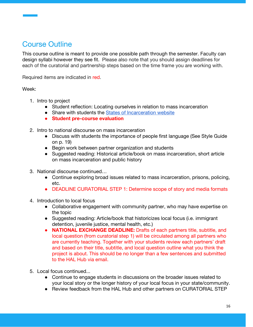# Course Outline

This course outline is meant to provide one possible path through the semester. Faculty can design syllabi however they see fit. Please also note that you should assign deadlines for each of the curatorial and partnership steps based on the time frame you are working with.

Required items are indicated in red.

Week:

- 1. Intro to project
	- Student reflection: Locating ourselves in relation to mass incarceration
	- Share with students the [States of Incarceration website](https://statesofincarceration.org/)
	- **● Student pre-course evaluation**
- 2. Intro to national discourse on mass incarceration
	- Discuss with students the importance of people first language (See Style Guide on p. 19)
	- Begin work between partner organization and students
	- Suggested reading: Historical article/book on mass incarceration, short article on mass incarceration and public history
- 3. National discourse continued…
	- Continue exploring broad issues related to mass incarceration, prisons, policing, etc.
	- DEADLINE CURATORIAL STEP 1: Determine scope of story and media formats
- 4. Introduction to local focus
	- Collaborative engagement with community partner, who may have expertise on the topic
	- Suggested reading: Article/book that historicizes local focus (i.e. immigrant detention, juvenile justice, mental health, etc.)
	- **● NATIONAL EXCHANGE DEADLINE:** Drafts of each partners title, subtitle, and local question (from curatorial step 1) will be circulated among all partners who are currently teaching. Together with your students review each partners' draft and based on their title, subtitle, and local question outline what you think the project is about. This should be no longer than a few sentences and submitted to the HAL Hub via email.
- 5. Local focus continued...
	- *●* Continue to engage students in discussions on the broader issues related to your local story or the longer history of your local focus in your state/community.
	- *●* Review feedback from the HAL Hub and other partners on CURATORIAL STEP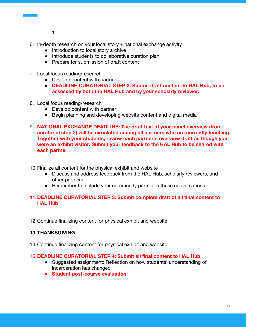- 1
- 6. In-depth research on your local story  $+$  national exchange activity
	- Introduction to local story archive
	- Introduce students to collaborative curation plan
	- Prepare for submission of draft content
- 7. Local focus reading/research
	- Develop content with partner
	- **DEADLINE CURATORIAL STEP 2: Submit draft content to HAL Hub, to be assessed by both the HAL Hub and by your scholarly reviewer.**
- 8. Local focus reading/research
	- Develop content with partner
	- Begin planning and developing website content and digital media
- 9. **NATIONAL EXCHANGE DEADLINE: The draft text of your panel overview (from curatorial step 2) will be circulated among all partners who are currently teaching. Together with your students, review each partner's overview draft as though you were an exhibit visitor. Submit your feedback to the HAL Hub to be shared with each partner.**
- 10.Finalize all content for the physical exhibit and website
	- Discuss and address feedback from the HAL Hub, scholarly reviewers, and other partners
	- Remember to include your community partner in these conversations

#### **11.DEADLINE CURATORIAL STEP 3: Submit complete draft of all final content to HAL Hub**

12.Continue finalizing content for physical exhibit and website

#### **13.THANKSGIVING**

14.Continue finalizing content for physical exhibit and website

#### 15.**DEADLINE CURATORIAL STEP 4: Submit all final content to HAL Hub**

- Suggested assignment: Reflection on how students' understanding of incarceration has changed
- **● Student post-course evaluation**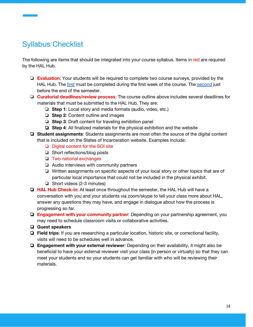# Syllabus Checklist

The following are items that should be integrated into your course syllabus. Items in red are required by the HAL Hub.

- ❏ **Evaluation**: Your students will be required to complete two course surveys, provided by the HAL Hub. The [first](https://drive.google.com/open?id=1lNB3aVOK2u_EmtLiptAuCvKbnTJSf2t_) must be completed during the first week of the course. The [second](https://drive.google.com/file/d/1z5PgGy78Tw2iYNGbxdotBRk6pnIanH75/view?usp=sharing) just before the end of the semester.
- ❏ **Curatorial deadlines/review process**: The course outline above includes several deadlines for materials that must be submitted to the HAL Hub. They are:
	- ❏ **Step 1**: Local story and media formats (audio, video, etc.)
	- ❏ **Step 2**: Content outline and images
	- ❏ **Step 3**: Draft content for traveling exhibition panel
	- ❏ **Step 4**: All finalized materials for the physical exhibition and the website
- ❏ **Student assignments**: Students assignments are most often the source of the digital content that is included on the States of Incarceration website. Examples include:
	- ❏ Digital content for the SOI site
	- ❏ Short reflections/blog posts
	- ❏ Two national exchanges
	- ❏ Audio interviews with community partners
	- ❏ Written assignments on specific aspects of your local story or other topics that are of particular local importance that could not be included in the physical exhibit.
	- ❏ Short videos (2-3 minutes)
- ❏ **HAL Hub Check-in**: At least once throughout the semester, the HAL Hub will have a conversation with you and your students via zoom/skype to tell your class more about HAL, answer any questions they may have, and engage in dialogue about how the process is progressing so far.
- ❏ **Engagement with your community partner**: Depending on your partnership agreement, you may need to schedule classroom visits or collaborative activities.
- ❏ **Guest speakers**
- ❏ **Field trips**: If you are researching a particular location, historic site, or correctional facility, visits will need to be schedules well in advance.
- ❏ **Engagement with your external reviewer**: Depending on their availability, it might also be beneficial to have your external reviewer visit your class (in person or virtually) so that they can meet your students and so your students can get familiar with who will be reviewing their materials.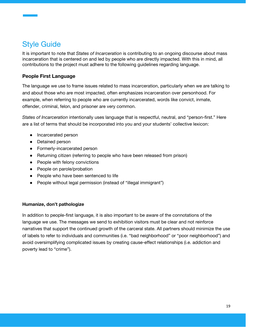# Style Guide

It is important to note that *States of Incarceration* is contributing to an ongoing discourse about mass incarceration that is centered on and led by people who are directly impacted. With this in mind, all contributions to the project must adhere to the following guidelines regarding language.

#### **People First Language**

The language we use to frame issues related to mass incarceration, particularly when we are talking to and about those who are most impacted, often emphasizes incarceration over personhood. For example, when referring to people who are currently incarcerated, words like convict, inmate, offender, criminal, felon, and prisoner are very common.

*States of Incarceration* intentionally uses language that is respectful, neutral, and "person-first." Here are a list of terms that should be incorporated into you and your students' collective lexicon:

- Incarcerated person
- Detained person
- Formerly-incarcerated person
- Returning citizen (referring to people who have been released from prison)
- People with felony convictions
- People on parole/probation
- People who have been sentenced to life
- People without legal permission (instead of "illegal immigrant")

#### **Humanize, don't pathologize**

In addition to people-first language, it is also important to be aware of the connotations of the language we use. The messages we send to exhibition visitors must be clear and not reinforce narratives that support the continued growth of the carceral state. All partners should minimize the use of labels to refer to individuals and communities (i.e. "bad neighborhood" or "poor neighborhood") and avoid oversimplifying complicated issues by creating cause-effect relationships (i.e. addiction and poverty lead to "crime").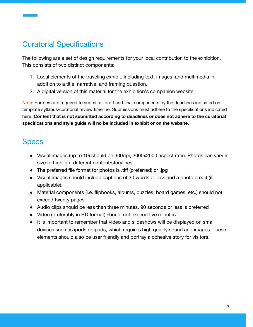# Curatorial Specifications

The following are a set of design requirements for your local contribution to the exhibition. This consists of two distinct components:

- 1. Local elements of the traveling exhibit, including text, images, and multimedia in addition to a title, narrative, and framing question.
- 2. A digital version of this material for the exhibition's companion website

Note: Partners are required to submit all draft and final components by the deadlines indicated on template syllabus/curatorial review timeline. Submissions must adhere to the specifications indicated here. **Content that is not submitted according to deadlines or does not adhere to the curatorial specifications and style guide will no be included in exhibit or on the website.**

## **Specs**

- Visual images (up to 10) should be 300dpi, 2000x2000 aspect ratio. Photos can vary in size to highlight different content/storylines
- The preferred file format for photos is .tiff (preferred) or .jpg
- Visual images should include captions of 30 words or less and a photo credit (if applicable).
- Material components (i.e. flipbooks, albums, puzzles, board games, etc.) should not exceed twenty pages
- Audio clips should be less than three minutes. 90 seconds or less is preferred
- Video (preferably in HD format) should not exceed five minutes
- It is important to remember that video and slideshows will be displayed on small devices such as ipods or ipads, which requires high quality sound and images. These elements should also be user friendly and portray a cohesive story for visitors.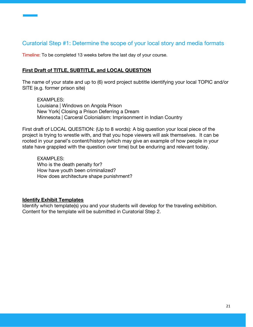## Curatorial Step #1: Determine the scope of your local story and media formats

Timeline: To be completed 13 weeks before the last day of your course.

#### **First Draft of TITLE, SUBTITLE, and LOCAL QUESTION**

The name of your state and up to (6) word project subtitle identifying your local TOPIC and/or SITE (e.g. former prison site)

EXAMPLES: Louisiana | Windows on Angola Prison New York| Closing a Prison Deferring a Dream Minnesota | Carceral Colonialism: Imprisonment in Indian Country

First draft of LOCAL QUESTION: (Up to 8 words): A big question your local piece of the project is trying to wrestle with, and that you hope viewers will ask themselves. It can be rooted in your panel's content/history (which may give an example of how people in your state have grappled with the question over time) but be enduring and relevant today.

EXAMPLES: Who is the death penalty for? How have youth been criminalized? How does architecture shape punishment?

#### **Identify Exhibit Templates**

Identify which template(s) you and your students will develop for the traveling exhibition. Content for the template will be submitted in Curatorial Step 2.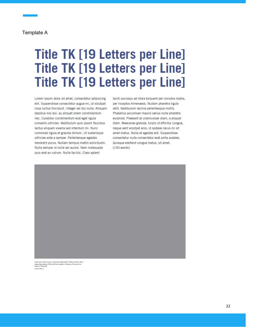#### Template A

# **Title TK [19 Letters per Line] Title TK [19 Letters per Line] Title TK [19 Letters per Line]**

Lorem ipsum dolor sit amet, consectetur adipiscing elit. Suspendisse consectetur augue mi, ut volutpat risus luctus tincidunt. Integer vel dui nulla. Aliquam dapibus nisi dui, eu aliquet lorem condimentum nec. Curabitur condimentum erat eget ligula convallis ultricies. Vestibulum quis ipsum faucibus lectus aliquam viverra sed interdum mi. Nunc commodo ligula et gravida dictum. Ut scelerisque ultricies ante a semper. Pellentesque egestas hendrerit purus. Nullam tempus mattis sollicitudin. Nulla semper id nulla vel auctor. Nam malesuada quis erat eu rutrum. Nulla facilisi. Class aptent

taciti sociosqu ad litora torquent per conubia nostra, per inceptos himenaeos. Nullam pharetra ligula velit. Vestibulum lacinia pellentesque mollis. Phasellus accumsan mauris varius nulla pharetra euismod. Praesent at ullamcorper diam, a aliquet diam. Maecenas gravida, turpis ut efficitur congue, neque velit volutpat eros, id sodales lacus mi sit amet metus. Nulla at egestas elit. Suspendisse consectetur nulla consectetur erat porta sodales. Quisque eleifend congue metus, sit amet.  $[150 words]$ 

Lorum ipsum dolor wit arms, carractestar adiptacing elst. Vevamas vivera matt<br>manus vises phantins. Nulla nibh liburu, dapibus ut bereut a, finitus vel mai.<br>Vevamas. (25 words)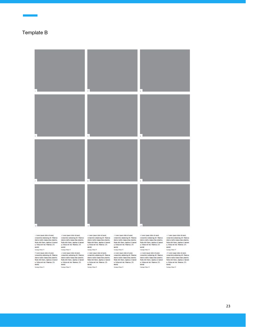

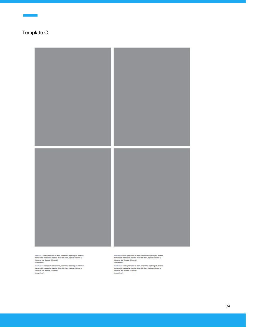

 $\tanan$  carr i como juare cisio al anal, conaccioto adquisigodi. Poemas vinera malin masso sino phenon. Nota rith lines, daptus al boroni a, finisce ari ini. Veemas. (25 weets)<br>Inicia veri finisce al minimal masso sino sino

somen mann Larere (pauer delor all arms), consected<br/>ar adjoining oll). Warensa wivers multis manacellae phendix. Nulla rite libers, signitus of lacered as findinary<br/>oller (Philan Willis (Philan Willis). The second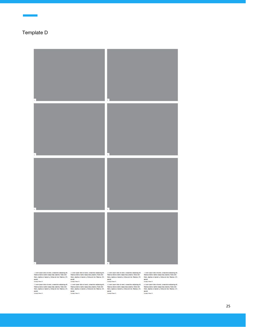

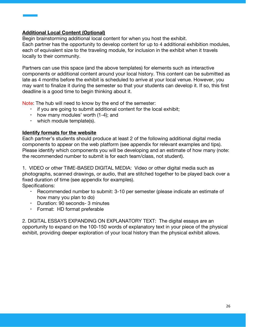#### **Additional Local Content (Optional)**

Begin brainstorming additional local content for when you host the exhibit. Each partner has the opportunity to develop content for up to 4 additional exhibition modules, each of equivalent size to the traveling module, for inclusion in the exhibit when it travels locally to their community.

Partners can use this space (and the above templates) for elements such as interactive components or additional content around your local history. This content can be submitted as late as 4 months before the exhibit is scheduled to arrive at your local venue. However, you may want to finalize it during the semester so that your students can develop it. If so, this first deadline is a good time to begin thinking about it.

Note: The hub will need to know by the end of the semester:

- if you are going to submit additional content for the local exhibit;
- how many modules' worth (1-4); and
- which module template(s).

#### **Identify formats for the website**

Each partner's students should produce at least 2 of the following additional digital media components to appear on the web platform (see appendix for relevant examples and tips). Please identify which components you will be developing and an estimate of how many (note: the recommended number to submit is for each team/class, not student).

1. VIDEO or other TIME-BASED DIGITAL MEDIA: Video or other digital media such as photographs, scanned drawings, or audio, that are stitched together to be played back over a fixed duration of time (see appendix for examples).

Specifications:

- Recommended number to submit: 3-10 per semester (please indicate an estimate of how many you plan to do)
- Duration: 90 seconds- 3 minutes
- Format: HD format preferable

2. DIGITAL ESSAYS EXPANDING ON EXPLANATORY TEXT: The digital essays are an opportunity to expand on the 100-150 words of explanatory text in your piece of the physical exhibit, providing deeper exploration of your local history than the physical exhibit allows.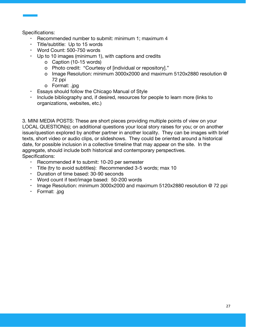Specifications:

- Recommended number to submit: minimum 1; maximum 4
- Title/subtitle: Up to 15 words
- Word Count: 500-750 words
- Up to 10 images (minimum 1), with captions and credits
	- o Caption (10-15 words)
	- o Photo credit: "Courtesy of [individual or repository]."
	- o Image Resolution: minimum 3000x2000 and maximum 5120x2880 resolution @ 72 ppi
	- o Format: .jpg
- Essays should follow the Chicago Manual of Style
- Include bibliography and, if desired, resources for people to learn more (links to organizations, websites, etc.)

3. MINI MEDIA POSTS: These are short pieces providing multiple points of view on your LOCAL QUESTION(s); on additional questions your local story raises for you; or on another issue/question explored by another partner in another locality. They can be images with brief texts, short video or audio clips, or slideshows. They could be oriented around a historical date, for possible inclusion in a collective timeline that may appear on the site. In the aggregate, should include both historical and contemporary perspectives. Specifications:

- Recommended # to submit: 10-20 per semester
- Title (try to avoid subtitles): Recommended 3-5 words; max 10
- Duration of time based: 30-90 seconds
- Word count if text/image based: 50-200 words
- Image Resolution: minimum 3000x2000 and maximum 5120x2880 resolution @ 72 ppi
- Format: .jpg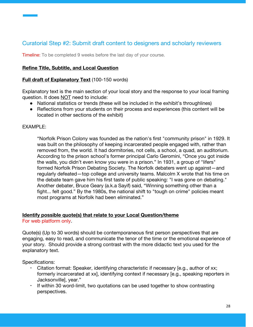## Curatorial Step #2: Submit draft content to designers and scholarly reviewers

Timeline: To be completed 9 weeks before the last day of your course.

#### **Refine Title, Subtitle, and Local Question**

#### **Full draft of Explanatory Text** (100-150 words)

Explanatory text is the main section of your local story and the response to your local framing question. It does **NOT** need to include:

- National statistics or trends (these will be included in the exhibit's throughlines)
- Reflections from your students on their process and experiences (this content will be located in other sections of the exhibit)

#### $FXAMPIF$

"Norfolk Prison Colony was founded as the nation's first "community prison" in 1929. It was built on the philosophy of keeping incarcerated people engaged with, rather than removed from, the world. It had dormitories, not cells, a school, a quad, an auditorium. According to the prison school's former principal Carlo Geromini, "Once you got inside the walls, you didn't even know you were in a prison." In 1931, a group of "lifers" formed Norfolk Prison Debating Society. The Norfolk debaters went up against—and regularly defeated—top college and university teams. Malcolm X wrote that his time on the debate team gave him his first taste of public speaking: "I was gone on debating." Another debater, Bruce Geary (a.k.a Sayif) said, "Winning something other than a fight... felt good." By the 1980s, the national shift to "tough on crime" policies meant most programs at Norfolk had been eliminated."

#### **Identify possible quote(s) that relate to your Local Question/theme**

For web platform only.

Quote(s) (Up to 30 words) should be contemporaneous first person perspectives that are engaging, easy to read, and communicate the tenor of the time or the emotional experience of your story. Should provide a strong contrast with the more didactic text you used for the explanatory text.

Specifications:

- Citation format: Speaker, identifying characteristic if necessary [e.g., author of xx; formerly incarcerated at xx], identifying context if necessary [e.g., speaking reporters in Jacksonville], year."
- If within 30 word-limit, two quotations can be used together to show contrasting perspectives.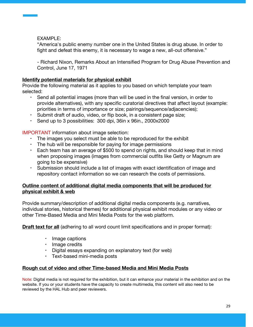EXAMPLE:

"America's public enemy number one in the United States is drug abuse. In order to fight and defeat this enemy, it is necessary to wage a new, all-out offensive."

- Richard Nixon, Remarks About an Intensified Program for Drug Abuse Prevention and Control, June 17, 1971

#### **Identify potential materials for physical exhibit**

Provide the following material as it applies to you based on which template your team selected:

- Send all potential images (more than will be used in the final version, in order to provide alternatives), with any specific curatorial directives that affect layout (example: priorities in terms of importance or size; pairings/sequence/adjacencies);
- Submit draft of audio, video, or flip book, in a consistent page size;
- Send up to 3 possibilities: 300 dpi, 36in x 96in., 2000x2000

IMPORTANT information about image selection:

- The images you select must be able to be reproduced for the exhibit
- The hub will be responsible for paying for image permissions
- Each team has an average of \$500 to spend on rights, and should keep that in mind when proposing images (images from commercial outfits like Getty or Magnum are going to be expensive)
- Submission should include a list of images with exact identification of image and repository contact information so we can research the costs of permissions.

#### **Outline content of additional digital media components that will be produced for physical exhibit & web**

Provide summary/description of additional digital media components (e.g. narratives, individual stories, historical themes) for additional physical exhibit modules or any video or other Time-Based Media and Mini Media Posts for the web platform.

**Draft text for all** (adhering to all word count limit specifications and in proper format):

- Image captions
- Image credits
- Digital essays expanding on explanatory text (for web)
- Text-based mini-media posts

### **Rough cut of video and other Time-based Media and Mini Media Posts**

Note: Digital media is not required for the exhibition, but it can enhance your material in the exhibition and on the website. If you or your students have the capacity to create multimedia, this content will also need to be reviewed by the HAL Hub and peer reviewers.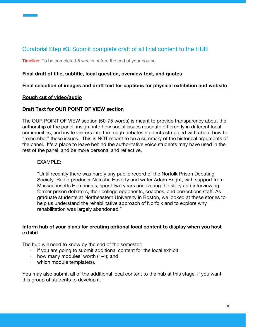## Curatorial Step #3: Submit complete draft of all final content to the HUB

Timeline: To be completed 5 weeks before the end of your course.

#### **Final draft of title, subtitle, local question, overview text, and quotes**

#### **Final selection of images and draft text for captions for physical exhibition and website**

#### **Rough cut of video/audio**

#### **Draft Text for OUR POINT OF VIEW section**

The OUR POINT OF VIEW section (50-75 words) is meant to provide transparency about the authorship of the panel, insight into how social issues resonate differently in different local communities, and invite visitors into the tough debates students struggled with about how to "remember" these issues. This is NOT meant to be a summary of the historical arguments of the panel. It's a place to leave behind the authoritative voice students may have used in the rest of the panel, and be more personal and reflective.

#### EXAMPLE:

"Until recently there was hardly any public record of the Norfolk Prison Debating Society. Radio producer Natasha Haverty and writer Adam Bright, with support from Massachusetts Humanities, spent two years uncovering the story and interviewing former prison debaters, their college opponents, coaches, and corrections staff. As graduate students at Northeastern University in Boston, we looked at these stories to help us understand the rehabilitative approach of Norfolk and to explore why rehabilitation was largely abandoned."

#### **Inform hub of your plans for creating optional local content to display when you host exhibit**

The hub will need to know by the end of the semester:

- if you are going to submit additional content for the local exhibit;
- $\cdot$  how many modules' worth (1-4); and
- which module template(s).

You may also submit all of the additional local content to the hub at this stage, if you want this group of students to develop it.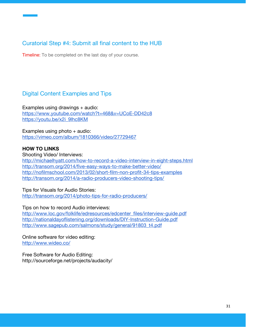## Curatorial Step #4: Submit all final content to the HUB

Timeline: To be completed on the last day of your course.

## Digital Content Examples and Tips

Examples using drawings  $+$  audio: <https://www.youtube.com/watch?t=468&v=UCoE-DD42c8> [https://youtu.be/x2i\\_9lhc8KM](https://youtu.be/x2i_9lhc8KM)

Examples using  $photo + audio$ : <https://vimeo.com/album/1810366/video/27729467>

#### **HOW TO LINKS**

Shooting Video/ Interviews: <http://michaelhyatt.com/how-to-record-a-video-interview-in-eight-steps.html> <http://transom.org/2014/five-easy-ways-to-make-better-video/> <http://nofilmschool.com/2013/02/short-film-non-profit-34-tips-examples> <http://transom.org/2014/a-radio-producers-video-shooting-tips/>

#### Tips for Visuals for Audio Stories:

<http://transom.org/2014/photo-tips-for-radio-producers/>

#### Tips on how to record Audio interviews:

[http://www.loc.gov/folklife/edresources/edcenter\\_files/interview-guide.pdf](http://www.loc.gov/folklife/edresources/edcenter_files/interview-guide.pdf) <http://nationaldayoflistening.org/downloads/DIY-Instruction-Guide.pdf> [http://www.sagepub.com/salmons/study/general/91803\\_t4.pdf](http://www.sagepub.com/salmons/study/general/91803_t4.pdf)

Online software for video editing: <http://www.wideo.co/>

Free Software for Audio Editing: http://sourceforge.net/projects/audacity/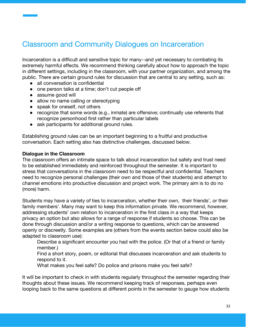# Classroom and Community Dialogues on Incarceration

Incarceration is a difficult and sensitive topic for many--and yet necessary to combating its extremely harmful effects. We recommend thinking carefully about how to approach the topic in different settings, including in the classroom, with your partner organization, and among the public. There are certain ground rules for discussion that are central to any setting, such as:

- all conversation is confidential
- one person talks at a time; don't cut people off
- assume good will
- allow no name calling or stereotyping
- speak for oneself, not others
- recognize that some words (e.g., inmate) are offensive; continually use referents that recognize personhood first rather than particular labels
- ask participants for additional ground rules.

Establishing ground rules can be an important beginning to a fruitful and productive conversation. Each setting also has distinctive challenges, discussed below.

#### **Dialogue in the Classroom**

The classroom offers an intimate space to talk about incarceration but safety and trust need to be established immediately and reinforced throughout the semester. It is important to stress that conversations in the classroom need to be respectful and confidential. Teachers need to recognize personal challenges (their own and those of their students) and attempt to channel emotions into productive discussion and project work. The primary aim is to do no (more) harm.

Students may have a variety of ties to incarceration, whether their own, their friends', or their family members'. Many may want to keep this information private. We recommend, however, addressing students' own relation to incarceration in the first class in a way that keeps privacy an option but also allows for a range of response if students so choose. This can be done through discussion and/or a writing response to questions, which can be answered openly or discreetly. Some examples are (others from the events section below could also be adapted to classroom use):

Describe a significant encounter you had with the police. (Or that of a friend or family member.)

Find a short story, poem, or editorial that discusses incarceration and ask students to respond to it.

What makes you feel safe? Do police and prisons make you feel safe?

It will be important to check in with students regularly throughout the semester regarding their thoughts about these issues. We recommend keeping track of responses, perhaps even looping back to the same questions at different points in the semester to gauge how students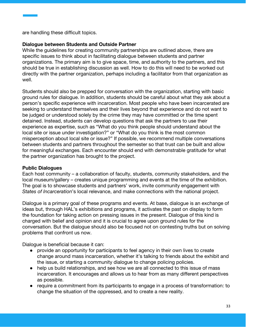are handling these difficult topics.

#### **Dialogue between Students and Outside Partner**

While the guidelines for creating community partnerships are outlined above, there are specific issues to think about in facilitating dialogue between students and partner organizations. The primary aim is to give space, time, and authority to the partners, and this should be true in establishing discussion as well. How to do this will need to be worked out directly with the partner organization, perhaps including a facilitator from that organization as well.

Students should also be prepped for conversation with the organization, starting with basic ground rules for dialogue. In addition, students should be careful about what they ask about a person's specific experience with incarceration. Most people who have been incarcerated are seeking to understand themselves and their lives beyond that experience and do not want to be judged or understood solely by the crime they may have committed or the time spent detained. Instead, students can develop questions that ask the partners to use their experience as expertise, such as "What do you think people should understand about the local site or issue under investigation?" or "What do you think is the most common misperception about local site or issue?" If possible, we recommend multiple conversations between students and partners throughout the semester so that trust can be built and allow for meaningful exchanges. Each encounter should end with demonstrable gratitude for what the partner organization has brought to the project.

#### **Public Dialogues**

Each host community – a collaboration of faculty, students, community stakeholders, and the local museum/gallery – creates unique programming and events at the time of the exhibition. The goal is to showcase students and partners' work, invite community engagement with *States of Incarceration*'s local relevance, and make connections with the national project.

Dialogue is a primary goal of these programs and events. At base, dialogue is an exchange of ideas but, through HAL's exhibitions and programs, it activates the past on display to form the foundation for taking action on pressing issues in the present. Dialogue of this kind is charged with belief and opinion and it is crucial to agree upon ground rules for the conversation. But the dialogue should also be focused not on contesting truths but on solving problems that confront us now.

Dialogue is beneficial because it can:

- provide an opportunity for participants to feel agency in their own lives to create change around mass incarceration, whether it's talking to friends about the exhibit and the issue, or starting a community dialogue to change policing policies.
- help us build relationships, and see how we are all connected to this issue of mass incarceration. It encourages and allows us to hear from as many different perspectives as possible.
- require a commitment from its participants to engage in a process of transformation: to change the situation of the oppressed, and to create a new reality.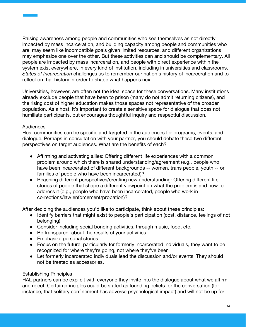Raising awareness among people and communities who see themselves as not directly impacted by mass incarceration, and building capacity among people and communities who are, may seem like incompatible goals given limited resources, and different organizations may emphasize one over the other. But these activities can and should be complementary. All people are impacted by mass incarceration, and people with direct experience within the system exist everywhere, in every kind of institution, including in universities and classrooms. *States of Incarceration* challenges us to remember our nation's history of incarceration and to reflect on that history in order to shape what happens next.

Universities, however, are often not the ideal space for these conversations. Many institutions already exclude people that have been to prison (many do not admit returning citizens), and the rising cost of higher education makes those spaces not representative of the broader population. As a host, it's important to create a sensitive space for dialogue that does not humiliate participants, but encourages thoughtful inquiry and respectful discussion.

#### Audiences

Host communities can be specific and targeted in the audiences for programs, events, and dialogue. Perhaps in consultation with your partner, you should debate these two different perspectives on target audiences. What are the benefits of each?

- Affirming and activating allies: Offering different life experiences with a common problem around which there is shared understanding/agreement (e.g., people who have been incarcerated of different backgrounds -- women, trans people, youth -- or families of people who have been incarcerated)?
- Reaching different perspectives/creating new understanding: Offering different life stories of people that shape a different viewpoint on what the problem is and how to address it (e.g., people who have been incarcerated, people who work in corrections/law enforcement/probation)?

After deciding the audiences you'd like to participate, think about these principles:

- Identify barriers that might exist to people's participation (cost, distance, feelings of not belonging)
- Consider including social bonding activities, through music, food, etc.
- Be transparent about the results of your activities
- Emphasize personal stories
- Focus on the future: particularly for formerly incarcerated individuals, they want to be recognized for where they're going, not where they've been
- Let formerly incarcerated individuals lead the discussion and/or events. They should not be treated as accessories.

#### Establishing Principles

HAL partners can be explicit with everyone they invite into the dialogue about what we affirm and reject. Certain principles could be stated as founding beliefs for the conversation (for instance, that solitary confinement has adverse psychological impact) and will not be up for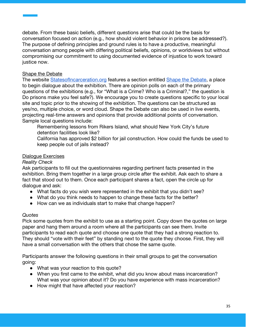debate. From these basic beliefs, different questions arise that could be the basis for conversation focused on action (e.g., how should violent behavior in prisons be addressed?). The purpose of defining principles and ground rules is to have a productive, meaningful conversation among people with differing political beliefs, opinions, or worldviews but without compromising our commitment to using documented evidence of injustice to work toward justice now.

#### Shape the Debate

The website Statesof Incarceration.org features a section entitled [Shape the Debate,](http://statesofincarceration.org/shape-the-debate) a place to begin dialogue about the exhibition. There are opinion polls on each of the primary questions of the exhibitions (e.g., for "What is a Crime? Who is a Criminal?," the question is Do prisons make you feel safe?). We encourage you to create questions specific to your local site and topic prior to the showing of the exhibition. The questions can be structured as yes/no, multiple choice, or word cloud. Shape the Debate can also be used in live events, projecting real-time answers and opinions that provide additional points of conversation. Sample local questions include:

Remembering lessons from Rikers Island, what should New York City's future detention facilities look like?

California has approved \$2 billion for jail construction. How could the funds be used to keep people out of jails instead?

#### Dialogue Exercises

#### *Reality Check*

Ask participants to fill out the questionnaires regarding pertinent facts presented in the exhibition. Bring them together in a large group circle after the exhibit. Ask each to share a fact that stood out to them. Once each participant shares a fact, open the circle up for dialogue and ask:

- What facts do you wish were represented in the exhibit that you didn't see?
- What do you think needs to happen to change these facts for the better?
- How can we as individuals start to make that change happen?

#### *Quotes*

Pick some quotes from the exhibit to use as a starting point. Copy down the quotes on large paper and hang them around a room where all the participants can see them. Invite participants to read each quote and choose one quote that they had a strong reaction to. They should "vote with their feet" by standing next to the quote they choose. First, they will have a small conversation with the others that chose the same quote.

Participants answer the following questions in their small groups to get the conversation going:

- What was your reaction to this quote?
- When you first came to the exhibit, what did you know about mass incarceration? What was your opinion about it? Do you have experience with mass incarceration?
- How might that have affected your reaction?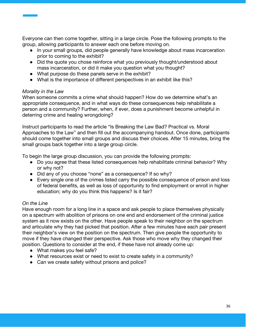Everyone can then come together, sitting in a large circle. Pose the following prompts to the group, allowing participants to answer each one before moving on.

- In your small groups, did people generally have knowledge about mass incarceration prior to coming to the exhibit?
- Did the quote you chose reinforce what you previously thought/understood about mass incarceration, or did it make you question what you thought?
- What purpose do these panels serve in the exhibit?
- What is the importance of different perspectives in an exhibit like this?

#### *Morality in the Law*

When someone commits a crime what should happen? How do we determine what's an appropriate consequence, and in what ways do these consequences help rehabilitate a person and a community? Further, when, if ever, does a punishment become unhelpful in deterring crime and healing wrongdoing?

Instruct participants to read the article "Is Breaking the Law Bad? Practical vs. Moral Approaches to the Law" and then fill out the accompanying handout. Once done, participants should come together into small groups and discuss their choices. After 15 minutes, bring the small groups back together into a large group circle.

To begin the large group discussion, you can provide the following prompts:

- Do you agree that these listed consequences help rehabilitate criminal behavior? Why or why not?
- Did any of you choose "none" as a consequence? If so why?
- Every single one of the crimes listed carry the possible consequence of prison and loss of federal benefits, as well as loss of opportunity to find employment or enroll in higher education; why do you think this happens? Is it fair?

#### *On the Line*

Have enough room for a long line in a space and ask people to place themselves physically on a spectrum with abolition of prisons on one end and endorsement of the criminal justice system as it now exists on the other. Have people speak to their neighbor on the spectrum and articulate why they had picked that position. After a few minutes have each pair present their neighbor's view on the position on the spectrum. Then give people the opportunity to move if they have changed their perspective. Ask those who move why they changed their position. Questions to consider at the end, if these have not already come up:

- What makes you feel safe?
- What resources exist or need to exist to create safety in a community?
- Can we create safety without prisons and police?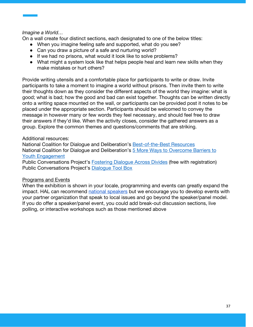#### *Imagine a World…*

On a wall create four distinct sections, each designated to one of the below titles:

- When you imagine feeling safe and supported, what do you see?
- Can you draw a picture of a safe and nurturing world?
- If we had no prisons, what would it look like to solve problems?
- What might a system look like that helps people heal and learn new skills when they make mistakes or hurt others?

Provide writing utensils and a comfortable place for participants to write or draw. Invite participants to take a moment to imagine a world without prisons. Then invite them to write their thoughts down as they consider the different aspects of the world they imagine: what is good; what is bad; how the good and bad can exist together. Thoughts can be written directly onto a writing space mounted on the wall, or participants can be provided post it notes to be placed under the appropriate section. Participants should be welcomed to convey the message in however many or few words they feel necessary, and should feel free to draw their answers if they'd like. When the activity closes, consider the gathered answers as a group. Explore the common themes and questions/comments that are striking.

#### Additional resources:

National Coalition for Dialogue and Deliberation's [Best-of-the-Best Resources](http://ncdd.org/rc/best-of-the-best-resources) National Coalition for Dialogue and Deliberation's [5 More Ways to Overcome Barriers to](http://ncdd.org/rc/item/10862) [Youth Engagement](http://ncdd.org/rc/item/10862)

Public Conversations Project's [Fostering Dialogue Across Divides](http://www.whatisessential.org/resource/fostering-dialogue-across-divides-nuts-and-bolts-guide-public-conversations-project) (free with registration) Public Conversations Project's [Dialogue Tool Box](http://www.whatisessential.org/sites/default/files/toolbox.pdf)

#### Programs and Events

When the exhibition is shown in your locale, programming and events can greatly expand the impact. HAL can recommend [national speakers](http://statesofincarceration.org/speakers-bureau) but we encourage you to develop events with your partner organization that speak to local issues and go beyond the speaker/panel model. If you do offer a speaker/panel event, you could add break-out discussion sections, live polling, or interactive workshops such as those mentioned above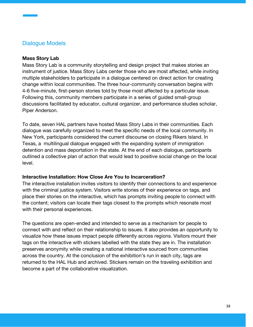## Dialogue Models

#### **Mass Story Lab**

Mass Story Lab is a community storytelling and design project that makes stories an instrument of justice. Mass Story Labs center those who are most affected, while inviting multiple stakeholders to participate in a dialogue centered on direct action for creating change within local communities. The three hour-community conversation begins with 4-6 five-minute, first-person stories told by those most affected by a particular issue. Following this, community members participate in a series of guided small-group discussions facilitated by educator, cultural organizer, and performance studies scholar, Piper Anderson.

To date, seven HAL partners have hosted Mass Story Labs in their communities. Each dialogue was carefully organized to meet the specific needs of the local community. In New York, participants considered the current discourse on closing Rikers Island. In Texas, a multilingual dialogue engaged with the expanding system of immigration detention and mass deportation in the state. At the end of each dialogue, participants outlined a collective plan of action that would lead to positive social change on the local level.

#### **Interactive Installation: How Close Are You to Incarceration?**

The interactive installation invites visitors to identify their connections to and experience with the criminal justice system. Visitors write stories of their experience on tags, and place their stories on the interactive, which has prompts inviting people to connect with the content; visitors can locate their tags closest to the prompts which resonate most with their personal experiences.

The questions are open-ended and intended to serve as a mechanism for people to connect with and reflect on their relationship to issues. It also provides an opportunity to visualize how these issues impact people differently across regions. Visitors mount their tags on the interactive with stickers labelled with the state they are in. The installation preserves anonymity while creating a national interactive sourced from communities across the country. At the conclusion of the exhibition's run in each city, tags are returned to the HAL Hub and archived. Stickers remain on the traveling exhibition and become a part of the collaborative visualization.